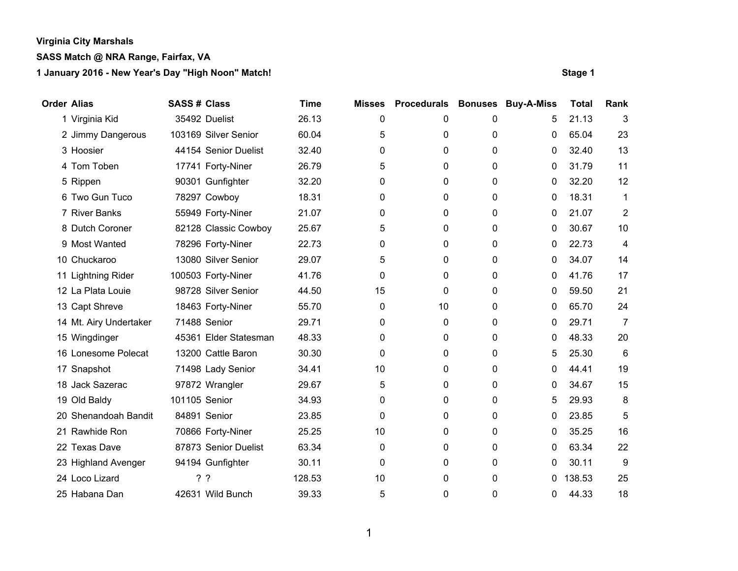# **SASS Match @ NRA Range, Fairfax, VA**

| <b>Order Alias</b> |                        | <b>SASS# Class</b> |                       | <b>Time</b> | <b>Misses</b> | <b>Procedurals</b> |   | <b>Bonuses Buy-A-Miss</b> | <b>Total</b> | Rank         |
|--------------------|------------------------|--------------------|-----------------------|-------------|---------------|--------------------|---|---------------------------|--------------|--------------|
|                    | 1 Virginia Kid         |                    | 35492 Duelist         | 26.13       | 0             | 0                  | 0 | 5                         | 21.13        | 3            |
|                    | 2 Jimmy Dangerous      |                    | 103169 Silver Senior  | 60.04       | 5             | 0                  | 0 | 0                         | 65.04        | 23           |
|                    | 3 Hoosier              |                    | 44154 Senior Duelist  | 32.40       | 0             | 0                  | 0 | 0                         | 32.40        | 13           |
|                    | 4 Tom Toben            |                    | 17741 Forty-Niner     | 26.79       | 5             | 0                  | 0 | 0                         | 31.79        | 11           |
|                    | 5 Rippen               |                    | 90301 Gunfighter      | 32.20       | 0             | 0                  | 0 | 0                         | 32.20        | 12           |
|                    | 6 Two Gun Tuco         |                    | 78297 Cowboy          | 18.31       | 0             | 0                  | 0 | 0                         | 18.31        | $\mathbf{1}$ |
|                    | 7 River Banks          |                    | 55949 Forty-Niner     | 21.07       | 0             | 0                  | 0 | 0                         | 21.07        | 2            |
|                    | 8 Dutch Coroner        |                    | 82128 Classic Cowboy  | 25.67       | 5             | 0                  | 0 | 0                         | 30.67        | 10           |
|                    | 9 Most Wanted          |                    | 78296 Forty-Niner     | 22.73       | 0             | 0                  | 0 | 0                         | 22.73        | 4            |
|                    | 10 Chuckaroo           |                    | 13080 Silver Senior   | 29.07       | 5             | 0                  | 0 | 0                         | 34.07        | 14           |
|                    | 11 Lightning Rider     |                    | 100503 Forty-Niner    | 41.76       | 0             | 0                  | 0 | 0                         | 41.76        | 17           |
|                    | 12 La Plata Louie      |                    | 98728 Silver Senior   | 44.50       | 15            | 0                  | 0 | 0                         | 59.50        | 21           |
|                    | 13 Capt Shreve         |                    | 18463 Forty-Niner     | 55.70       | 0             | 10                 | 0 | 0                         | 65.70        | 24           |
|                    | 14 Mt. Airy Undertaker |                    | 71488 Senior          | 29.71       | 0             | 0                  | 0 | 0                         | 29.71        | 7            |
|                    | 15 Wingdinger          |                    | 45361 Elder Statesman | 48.33       | 0             | 0                  | 0 | 0                         | 48.33        | 20           |
|                    | 16 Lonesome Polecat    |                    | 13200 Cattle Baron    | 30.30       | 0             | 0                  | 0 | 5                         | 25.30        | 6            |
|                    | 17 Snapshot            |                    | 71498 Lady Senior     | 34.41       | 10            | 0                  | 0 | 0                         | 44.41        | 19           |
|                    | 18 Jack Sazerac        |                    | 97872 Wrangler        | 29.67       | 5             | 0                  | 0 | $\Omega$                  | 34.67        | 15           |
|                    | 19 Old Baldy           | 101105 Senior      |                       | 34.93       | 0             | 0                  | 0 | 5                         | 29.93        | 8            |
|                    | 20 Shenandoah Bandit   |                    | 84891 Senior          | 23.85       | 0             | 0                  | 0 | 0                         | 23.85        | 5            |
|                    | 21 Rawhide Ron         |                    | 70866 Forty-Niner     | 25.25       | 10            | 0                  | 0 | 0                         | 35.25        | 16           |
|                    | 22 Texas Dave          |                    | 87873 Senior Duelist  | 63.34       | 0             | 0                  | 0 | 0                         | 63.34        | 22           |
|                    | 23 Highland Avenger    |                    | 94194 Gunfighter      | 30.11       | 0             | 0                  | 0 | 0                         | 30.11        | 9            |
|                    | 24 Loco Lizard         |                    | ??                    | 128.53      | 10            | 0                  | 0 | 0                         | 138.53       | 25           |
|                    | 25 Habana Dan          |                    | 42631 Wild Bunch      | 39.33       | 5             | 0                  | 0 | 0                         | 44.33        | 18           |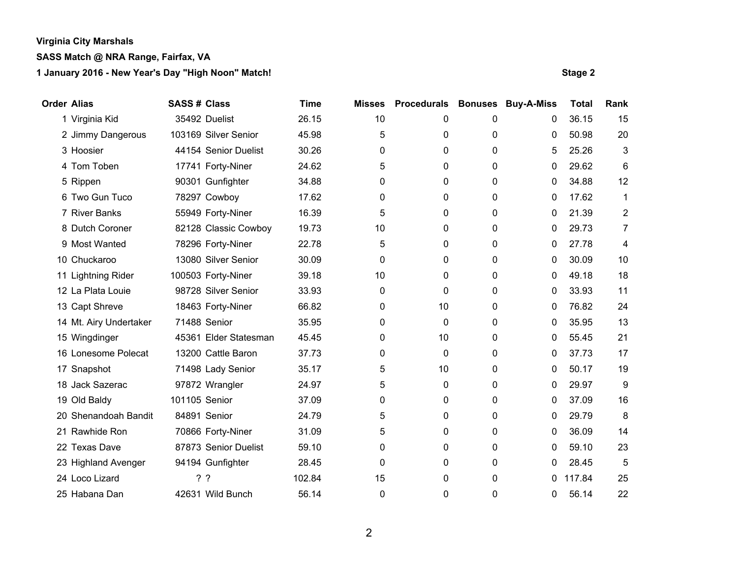# **SASS Match @ NRA Range, Fairfax, VA**

| <b>Order Alias</b> |                        | <b>SASS # Class</b> |                       | <b>Time</b> | <b>Misses</b> | <b>Procedurals</b> | <b>Bonuses</b> | <b>Buy-A-Miss</b> | <b>Total</b> | Rank           |
|--------------------|------------------------|---------------------|-----------------------|-------------|---------------|--------------------|----------------|-------------------|--------------|----------------|
|                    | 1 Virginia Kid         |                     | 35492 Duelist         | 26.15       | 10            | 0                  | 0              | 0                 | 36.15        | 15             |
|                    | 2 Jimmy Dangerous      |                     | 103169 Silver Senior  | 45.98       | 5             | 0                  | 0              | 0                 | 50.98        | 20             |
|                    | 3 Hoosier              |                     | 44154 Senior Duelist  | 30.26       | 0             | 0                  | 0              | 5                 | 25.26        | 3              |
|                    | 4 Tom Toben            |                     | 17741 Forty-Niner     | 24.62       | 5             | 0                  | 0              | 0                 | 29.62        | 6              |
|                    | 5 Rippen               |                     | 90301 Gunfighter      | 34.88       | 0             | 0                  | 0              | 0                 | 34.88        | 12             |
|                    | 6 Two Gun Tuco         |                     | 78297 Cowboy          | 17.62       | 0             | 0                  | 0              | 0                 | 17.62        | $\mathbf{1}$   |
|                    | 7 River Banks          |                     | 55949 Forty-Niner     | 16.39       | 5             | 0                  | 0              | 0                 | 21.39        | $\overline{2}$ |
|                    | 8 Dutch Coroner        |                     | 82128 Classic Cowboy  | 19.73       | 10            | 0                  | 0              | 0                 | 29.73        | 7              |
|                    | 9 Most Wanted          |                     | 78296 Forty-Niner     | 22.78       | 5             | 0                  | 0              | 0                 | 27.78        | 4              |
|                    | 10 Chuckaroo           |                     | 13080 Silver Senior   | 30.09       | 0             | 0                  | 0              | 0                 | 30.09        | 10             |
|                    | 11 Lightning Rider     |                     | 100503 Forty-Niner    | 39.18       | 10            | 0                  | 0              | 0                 | 49.18        | 18             |
|                    | 12 La Plata Louie      |                     | 98728 Silver Senior   | 33.93       | 0             | 0                  | 0              | 0                 | 33.93        | 11             |
|                    | 13 Capt Shreve         |                     | 18463 Forty-Niner     | 66.82       | 0             | 10                 | 0              | 0                 | 76.82        | 24             |
|                    | 14 Mt. Airy Undertaker |                     | 71488 Senior          | 35.95       | 0             | 0                  | 0              | 0                 | 35.95        | 13             |
|                    | 15 Wingdinger          |                     | 45361 Elder Statesman | 45.45       | 0             | 10                 | 0              | 0                 | 55.45        | 21             |
|                    | 16 Lonesome Polecat    |                     | 13200 Cattle Baron    | 37.73       | 0             | 0                  | 0              | 0                 | 37.73        | 17             |
|                    | 17 Snapshot            |                     | 71498 Lady Senior     | 35.17       | 5             | 10                 | 0              | 0                 | 50.17        | 19             |
|                    | 18 Jack Sazerac        |                     | 97872 Wrangler        | 24.97       | 5             | 0                  | 0              | 0                 | 29.97        | 9              |
|                    | 19 Old Baldy           | 101105 Senior       |                       | 37.09       | 0             | 0                  | 0              | 0                 | 37.09        | 16             |
|                    | 20 Shenandoah Bandit   |                     | 84891 Senior          | 24.79       | 5             | 0                  | 0              | 0                 | 29.79        | 8              |
|                    | 21 Rawhide Ron         |                     | 70866 Forty-Niner     | 31.09       | 5             | 0                  | 0              | 0                 | 36.09        | 14             |
|                    | 22 Texas Dave          |                     | 87873 Senior Duelist  | 59.10       | 0             | 0                  | 0              | 0                 | 59.10        | 23             |
|                    | 23 Highland Avenger    |                     | 94194 Gunfighter      | 28.45       | 0             | 0                  | 0              | 0                 | 28.45        | 5              |
|                    | 24 Loco Lizard         | ??                  |                       | 102.84      | 15            | 0                  | 0              | 0                 | 117.84       | 25             |
|                    | 25 Habana Dan          |                     | 42631 Wild Bunch      | 56.14       | 0             | 0                  | 0              | 0                 | 56.14        | 22             |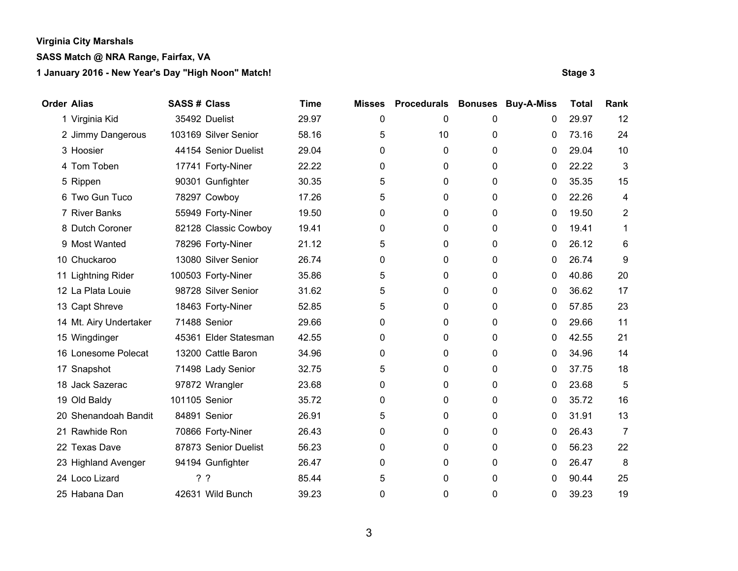# **SASS Match @ NRA Range, Fairfax, VA**

| <b>Order Alias</b> |                        | <b>SASS# Class</b> |                       | <b>Time</b> | <b>Misses</b> | <b>Procedurals</b> | <b>Bonuses</b> | <b>Buy-A-Miss</b> | <b>Total</b> | Rank           |
|--------------------|------------------------|--------------------|-----------------------|-------------|---------------|--------------------|----------------|-------------------|--------------|----------------|
|                    | 1 Virginia Kid         |                    | 35492 Duelist         | 29.97       | 0             | 0                  | 0              | 0                 | 29.97        | 12             |
|                    | 2 Jimmy Dangerous      |                    | 103169 Silver Senior  | 58.16       | 5             | 10                 | 0              | 0                 | 73.16        | 24             |
|                    | 3 Hoosier              |                    | 44154 Senior Duelist  | 29.04       | 0             | 0                  | 0              | 0                 | 29.04        | 10             |
|                    | 4 Tom Toben            |                    | 17741 Forty-Niner     | 22.22       | 0             | 0                  | 0              | 0                 | 22.22        | 3              |
|                    | 5 Rippen               |                    | 90301 Gunfighter      | 30.35       | 5             | 0                  | $\mathbf{0}$   | 0                 | 35.35        | 15             |
|                    | 6 Two Gun Tuco         |                    | 78297 Cowboy          | 17.26       | 5             | 0                  | 0              | 0                 | 22.26        | 4              |
|                    | 7 River Banks          |                    | 55949 Forty-Niner     | 19.50       | 0             | 0                  | 0              | 0                 | 19.50        | 2              |
|                    | 8 Dutch Coroner        |                    | 82128 Classic Cowboy  | 19.41       | 0             | 0                  | 0              | 0                 | 19.41        | 1              |
|                    | 9 Most Wanted          |                    | 78296 Forty-Niner     | 21.12       | 5             | 0                  | 0              | 0                 | 26.12        | 6              |
|                    | 10 Chuckaroo           |                    | 13080 Silver Senior   | 26.74       | 0             | 0                  | 0              | 0                 | 26.74        | 9              |
|                    | 11 Lightning Rider     |                    | 100503 Forty-Niner    | 35.86       | 5             | 0                  | 0              | 0                 | 40.86        | 20             |
|                    | 12 La Plata Louie      |                    | 98728 Silver Senior   | 31.62       | 5             | 0                  | 0              | 0                 | 36.62        | 17             |
|                    | 13 Capt Shreve         |                    | 18463 Forty-Niner     | 52.85       | 5             | 0                  | 0              | 0                 | 57.85        | 23             |
|                    | 14 Mt. Airy Undertaker |                    | 71488 Senior          | 29.66       | 0             | 0                  | 0              | 0                 | 29.66        | 11             |
|                    | 15 Wingdinger          |                    | 45361 Elder Statesman | 42.55       | 0             | 0                  | 0              | 0                 | 42.55        | 21             |
|                    | 16 Lonesome Polecat    |                    | 13200 Cattle Baron    | 34.96       | 0             | 0                  | $\mathbf{0}$   | 0                 | 34.96        | 14             |
|                    | 17 Snapshot            |                    | 71498 Lady Senior     | 32.75       | 5             | 0                  | 0              | 0                 | 37.75        | 18             |
|                    | 18 Jack Sazerac        |                    | 97872 Wrangler        | 23.68       | 0             | 0                  | 0              | 0                 | 23.68        | 5              |
|                    | 19 Old Baldy           | 101105 Senior      |                       | 35.72       | 0             | 0                  | 0              | 0                 | 35.72        | 16             |
|                    | 20 Shenandoah Bandit   |                    | 84891 Senior          | 26.91       | 5             | 0                  | 0              | 0                 | 31.91        | 13             |
|                    | 21 Rawhide Ron         |                    | 70866 Forty-Niner     | 26.43       | 0             | 0                  | 0              | 0                 | 26.43        | $\overline{7}$ |
|                    | 22 Texas Dave          |                    | 87873 Senior Duelist  | 56.23       | 0             | 0                  | 0              | 0                 | 56.23        | 22             |
|                    | 23 Highland Avenger    |                    | 94194 Gunfighter      | 26.47       | 0             | 0                  | 0              | 0                 | 26.47        | 8              |
|                    | 24 Loco Lizard         |                    | ??                    | 85.44       | 5             | 0                  | 0              | 0                 | 90.44        | 25             |
|                    | 25 Habana Dan          |                    | 42631 Wild Bunch      | 39.23       | 0             | 0                  | 0              | 0                 | 39.23        | 19             |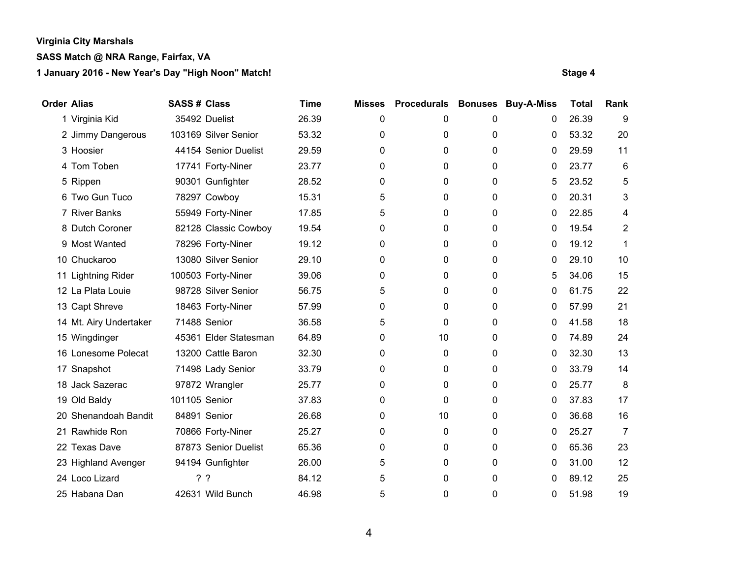# **SASS Match @ NRA Range, Fairfax, VA**

| <b>Order Alias</b> |                        | <b>SASS # Class</b> |                       | <b>Time</b> | <b>Misses</b> | <b>Procedurals</b> | <b>Bonuses</b> | <b>Buy-A-Miss</b> | <b>Total</b> | Rank           |
|--------------------|------------------------|---------------------|-----------------------|-------------|---------------|--------------------|----------------|-------------------|--------------|----------------|
|                    | 1 Virginia Kid         |                     | 35492 Duelist         | 26.39       | 0             | 0                  | 0              | 0                 | 26.39        | 9              |
|                    | 2 Jimmy Dangerous      |                     | 103169 Silver Senior  | 53.32       | 0             | 0                  | 0              | 0                 | 53.32        | 20             |
|                    | 3 Hoosier              |                     | 44154 Senior Duelist  | 29.59       | 0             | 0                  | 0              | 0                 | 29.59        | 11             |
|                    | 4 Tom Toben            |                     | 17741 Forty-Niner     | 23.77       | 0             | 0                  | 0              | 0                 | 23.77        | 6              |
|                    | 5 Rippen               |                     | 90301 Gunfighter      | 28.52       | 0             | 0                  | 0              | 5                 | 23.52        | 5              |
|                    | 6 Two Gun Tuco         |                     | 78297 Cowboy          | 15.31       | 5             | 0                  | 0              | 0                 | 20.31        | 3              |
|                    | 7 River Banks          |                     | 55949 Forty-Niner     | 17.85       | 5             | 0                  | 0              | 0                 | 22.85        | 4              |
|                    | 8 Dutch Coroner        |                     | 82128 Classic Cowboy  | 19.54       | 0             | 0                  | 0              | 0                 | 19.54        | 2              |
|                    | 9 Most Wanted          |                     | 78296 Forty-Niner     | 19.12       | 0             | 0                  | 0              | 0                 | 19.12        | 1              |
|                    | 10 Chuckaroo           |                     | 13080 Silver Senior   | 29.10       | 0             | 0                  | 0              | 0                 | 29.10        | 10             |
|                    | 11 Lightning Rider     |                     | 100503 Forty-Niner    | 39.06       | 0             | 0                  | 0              | 5                 | 34.06        | 15             |
|                    | 12 La Plata Louie      |                     | 98728 Silver Senior   | 56.75       | 5             | 0                  | 0              | 0                 | 61.75        | 22             |
|                    | 13 Capt Shreve         |                     | 18463 Forty-Niner     | 57.99       | 0             | 0                  | 0              | 0                 | 57.99        | 21             |
|                    | 14 Mt. Airy Undertaker |                     | 71488 Senior          | 36.58       | 5             | 0                  | 0              | 0                 | 41.58        | 18             |
|                    | 15 Wingdinger          |                     | 45361 Elder Statesman | 64.89       | 0             | 10                 | 0              | 0                 | 74.89        | 24             |
|                    | 16 Lonesome Polecat    |                     | 13200 Cattle Baron    | 32.30       | 0             | 0                  | 0              | 0                 | 32.30        | 13             |
|                    | 17 Snapshot            |                     | 71498 Lady Senior     | 33.79       | 0             | 0                  | 0              | 0                 | 33.79        | 14             |
|                    | 18 Jack Sazerac        |                     | 97872 Wrangler        | 25.77       | 0             | 0                  | 0              | 0                 | 25.77        | 8              |
|                    | 19 Old Baldy           | 101105 Senior       |                       | 37.83       | 0             | $\mathbf{0}$       | 0              | 0                 | 37.83        | 17             |
|                    | 20 Shenandoah Bandit   |                     | 84891 Senior          | 26.68       | 0             | 10                 | 0              | 0                 | 36.68        | 16             |
|                    | 21 Rawhide Ron         |                     | 70866 Forty-Niner     | 25.27       | 0             | 0                  | 0              | 0                 | 25.27        | $\overline{7}$ |
|                    | 22 Texas Dave          |                     | 87873 Senior Duelist  | 65.36       | 0             | 0                  | 0              | 0                 | 65.36        | 23             |
|                    | 23 Highland Avenger    |                     | 94194 Gunfighter      | 26.00       | 5             | 0                  | 0              | 0                 | 31.00        | 12             |
|                    | 24 Loco Lizard         | ? ?                 |                       | 84.12       | 5             | 0                  | 0              | 0                 | 89.12        | 25             |
|                    | 25 Habana Dan          |                     | 42631 Wild Bunch      | 46.98       | 5             | 0                  | 0              | 0                 | 51.98        | 19             |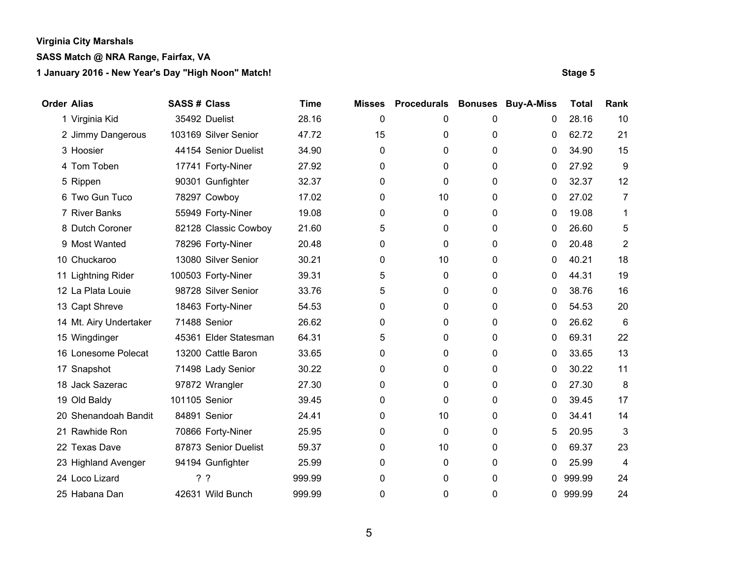# **SASS Match @ NRA Range, Fairfax, VA**

| <b>Order Alias</b> |                        | <b>SASS # Class</b> |                       | <b>Time</b> | <b>Misses</b> | <b>Procedurals</b> | <b>Bonuses</b> | <b>Buy-A-Miss</b> | <b>Total</b> | Rank           |
|--------------------|------------------------|---------------------|-----------------------|-------------|---------------|--------------------|----------------|-------------------|--------------|----------------|
|                    | 1 Virginia Kid         |                     | 35492 Duelist         | 28.16       | 0             | 0                  | 0              | 0                 | 28.16        | 10             |
|                    | 2 Jimmy Dangerous      |                     | 103169 Silver Senior  | 47.72       | 15            | 0                  | 0              | 0                 | 62.72        | 21             |
|                    | 3 Hoosier              |                     | 44154 Senior Duelist  | 34.90       | 0             | 0                  | 0              | 0                 | 34.90        | 15             |
|                    | 4 Tom Toben            |                     | 17741 Forty-Niner     | 27.92       | 0             | 0                  | 0              | 0                 | 27.92        | 9              |
|                    | 5 Rippen               |                     | 90301 Gunfighter      | 32.37       | 0             | 0                  | 0              | 0                 | 32.37        | 12             |
|                    | 6 Two Gun Tuco         |                     | 78297 Cowboy          | 17.02       | 0             | 10                 | 0              | 0                 | 27.02        | 7              |
|                    | 7 River Banks          |                     | 55949 Forty-Niner     | 19.08       | 0             | 0                  | 0              | 0                 | 19.08        | 1              |
|                    | 8 Dutch Coroner        |                     | 82128 Classic Cowboy  | 21.60       | 5             | 0                  | 0              | 0                 | 26.60        | 5              |
|                    | 9 Most Wanted          |                     | 78296 Forty-Niner     | 20.48       | 0             | 0                  | 0              | 0                 | 20.48        | $\overline{2}$ |
|                    | 10 Chuckaroo           |                     | 13080 Silver Senior   | 30.21       | 0             | 10                 | 0              | 0                 | 40.21        | 18             |
|                    | 11 Lightning Rider     |                     | 100503 Forty-Niner    | 39.31       | 5             | 0                  | 0              | 0                 | 44.31        | 19             |
|                    | 12 La Plata Louie      |                     | 98728 Silver Senior   | 33.76       | 5             | 0                  | 0              | 0                 | 38.76        | 16             |
|                    | 13 Capt Shreve         |                     | 18463 Forty-Niner     | 54.53       | 0             | 0                  | 0              | 0                 | 54.53        | 20             |
|                    | 14 Mt. Airy Undertaker |                     | 71488 Senior          | 26.62       | 0             | 0                  | 0              | 0                 | 26.62        | 6              |
|                    | 15 Wingdinger          |                     | 45361 Elder Statesman | 64.31       | 5             | 0                  | 0              | 0                 | 69.31        | 22             |
|                    | 16 Lonesome Polecat    |                     | 13200 Cattle Baron    | 33.65       | 0             | 0                  | 0              | 0                 | 33.65        | 13             |
|                    | 17 Snapshot            |                     | 71498 Lady Senior     | 30.22       | 0             | 0                  | 0              | 0                 | 30.22        | 11             |
|                    | 18 Jack Sazerac        |                     | 97872 Wrangler        | 27.30       | 0             | 0                  | 0              | 0                 | 27.30        | 8              |
|                    | 19 Old Baldy           | 101105 Senior       |                       | 39.45       | 0             | 0                  | 0              | 0                 | 39.45        | 17             |
|                    | 20 Shenandoah Bandit   |                     | 84891 Senior          | 24.41       | 0             | 10                 | 0              | 0                 | 34.41        | 14             |
|                    | 21 Rawhide Ron         |                     | 70866 Forty-Niner     | 25.95       | 0             | 0                  | 0              | 5                 | 20.95        | 3              |
|                    | 22 Texas Dave          |                     | 87873 Senior Duelist  | 59.37       | 0             | 10                 | 0              | 0                 | 69.37        | 23             |
|                    | 23 Highland Avenger    |                     | 94194 Gunfighter      | 25.99       | 0             | 0                  | 0              | 0                 | 25.99        | 4              |
|                    | 24 Loco Lizard         |                     | ??                    | 999.99      | 0             | 0                  | 0              | 0                 | 999.99       | 24             |
|                    | 25 Habana Dan          |                     | 42631 Wild Bunch      | 999.99      | 0             | 0                  | 0              | 0                 | 999.99       | 24             |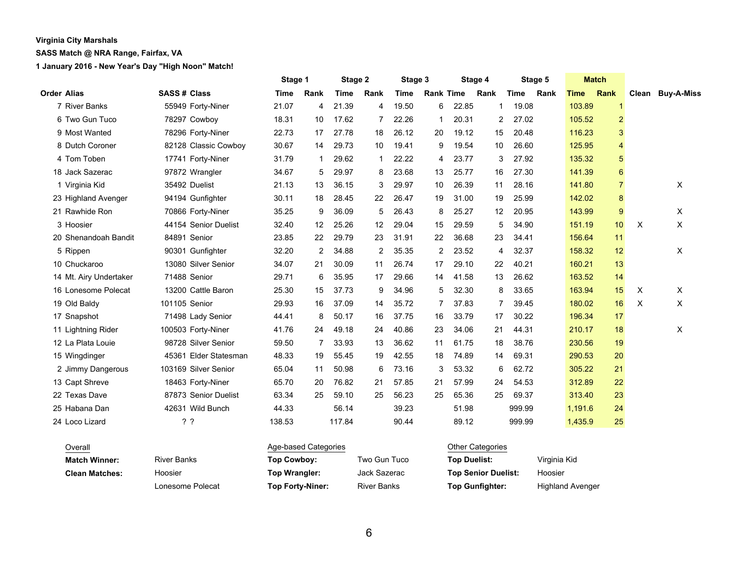### **SASS Match @ NRA Range, Fairfax, VA**

|                        |                       | Stage 1     |      | Stage 2<br>Stage 3 |                | Stage 4     |                  |       | Stage 5        |             | <b>Match</b> |             |                |          |                  |
|------------------------|-----------------------|-------------|------|--------------------|----------------|-------------|------------------|-------|----------------|-------------|--------------|-------------|----------------|----------|------------------|
| <b>Order Alias</b>     | <b>SASS# Class</b>    | <b>Time</b> | Rank | <b>Time</b>        | Rank           | <b>Time</b> | <b>Rank Time</b> |       | Rank           | <b>Time</b> | Rank         | <b>Time</b> | Rank           |          | Clean Buy-A-Miss |
| 7 River Banks          | 55949 Forty-Niner     | 21.07       | 4    | 21.39              | 4              | 19.50       | 6                | 22.85 | 1              | 19.08       |              | 103.89      | $\mathbf{1}$   |          |                  |
| 6 Two Gun Tuco         | 78297 Cowboy          | 18.31       | 10   | 17.62              | $\overline{7}$ | 22.26       | 1                | 20.31 | $\overline{2}$ | 27.02       |              | 105.52      | $\overline{2}$ |          |                  |
| 9 Most Wanted          | 78296 Forty-Niner     | 22.73       | 17   | 27.78              | 18             | 26.12       | 20               | 19.12 | 15             | 20.48       |              | 116.23      | 3              |          |                  |
| 8 Dutch Coroner        | 82128 Classic Cowboy  | 30.67       | 14   | 29.73              | 10             | 19.41       | 9                | 19.54 | 10             | 26.60       |              | 125.95      | 4              |          |                  |
| 4 Tom Toben            | 17741 Forty-Niner     | 31.79       |      | 29.62              | -1             | 22.22       | 4                | 23.77 | 3              | 27.92       |              | 135.32      | 5              |          |                  |
| 18 Jack Sazerac        | 97872 Wrangler        | 34.67       | 5    | 29.97              | 8              | 23.68       | 13               | 25.77 | 16             | 27.30       |              | 141.39      | 6              |          |                  |
| 1 Virginia Kid         | 35492 Duelist         | 21.13       | 13   | 36.15              | 3              | 29.97       | 10               | 26.39 | 11             | 28.16       |              | 141.80      | $\overline{7}$ |          | X                |
| 23 Highland Avenger    | 94194 Gunfighter      | 30.11       | 18   | 28.45              | 22             | 26.47       | 19               | 31.00 | 19             | 25.99       |              | 142.02      | 8              |          |                  |
| 21 Rawhide Ron         | 70866 Forty-Niner     | 35.25       | 9    | 36.09              | 5              | 26.43       | 8                | 25.27 | 12             | 20.95       |              | 143.99      | 9              |          | X                |
| 3 Hoosier              | 44154 Senior Duelist  | 32.40       | 12   | 25.26              | 12             | 29.04       | 15               | 29.59 | 5              | 34.90       |              | 151.19      | 10             | $\times$ | X                |
| 20 Shenandoah Bandit   | 84891 Senior          | 23.85       | 22   | 29.79              | 23             | 31.91       | 22               | 36.68 | 23             | 34.41       |              | 156.64      | 11             |          |                  |
| 5 Rippen               | 90301 Gunfighter      | 32.20       | 2    | 34.88              | 2              | 35.35       | 2                | 23.52 | 4              | 32.37       |              | 158.32      | 12             |          | X                |
| 10 Chuckaroo           | 13080 Silver Senior   | 34.07       | 21   | 30.09              | 11             | 26.74       | 17               | 29.10 | 22             | 40.21       |              | 160.21      | 13             |          |                  |
| 14 Mt. Airy Undertaker | 71488 Senior          | 29.71       | 6    | 35.95              | 17             | 29.66       | 14               | 41.58 | 13             | 26.62       |              | 163.52      | 14             |          |                  |
| 16 Lonesome Polecat    | 13200 Cattle Baron    | 25.30       | 15   | 37.73              | 9              | 34.96       | 5                | 32.30 | 8              | 33.65       |              | 163.94      | 15             | X        | X                |
| 19 Old Baldy           | 101105 Senior         | 29.93       | 16   | 37.09              | 14             | 35.72       |                  | 37.83 | 7              | 39.45       |              | 180.02      | 16             | X        | X                |
| 17 Snapshot            | 71498 Lady Senior     | 44.41       | 8    | 50.17              | 16             | 37.75       | 16               | 33.79 | 17             | 30.22       |              | 196.34      | 17             |          |                  |
| 11 Lightning Rider     | 100503 Forty-Niner    | 41.76       | 24   | 49.18              | 24             | 40.86       | 23               | 34.06 | 21             | 44.31       |              | 210.17      | 18             |          | X                |
| 12 La Plata Louie      | 98728 Silver Senior   | 59.50       | 7    | 33.93              | 13             | 36.62       | 11               | 61.75 | 18             | 38.76       |              | 230.56      | 19             |          |                  |
| 15 Wingdinger          | 45361 Elder Statesman | 48.33       | 19   | 55.45              | 19             | 42.55       | 18               | 74.89 | 14             | 69.31       |              | 290.53      | 20             |          |                  |
| 2 Jimmy Dangerous      | 103169 Silver Senior  | 65.04       | 11   | 50.98              | 6              | 73.16       | 3                | 53.32 | 6              | 62.72       |              | 305.22      | 21             |          |                  |
| 13 Capt Shreve         | 18463 Forty-Niner     | 65.70       | 20   | 76.82              | 21             | 57.85       | 21               | 57.99 | 24             | 54.53       |              | 312.89      | 22             |          |                  |
| 22 Texas Dave          | 87873 Senior Duelist  | 63.34       | 25   | 59.10              | 25             | 56.23       | 25               | 65.36 | 25             | 69.37       |              | 313.40      | 23             |          |                  |
| 25 Habana Dan          | 42631 Wild Bunch      | 44.33       |      | 56.14              |                | 39.23       |                  | 51.98 |                | 999.99      |              | 1,191.6     | 24             |          |                  |
| 24 Loco Lizard         | ??                    | 138.53      |      | 117.84             |                | 90.44       |                  | 89.12 |                | 999.99      |              | 1,435.9     | 25             |          |                  |

| Overall               |                    | Age-based Categories |                    | Other Categories           |                         |  |  |  |
|-----------------------|--------------------|----------------------|--------------------|----------------------------|-------------------------|--|--|--|
| <b>Match Winner:</b>  | <b>River Banks</b> | Top Cowboy:          | Two Gun Tuco       | <b>Top Duelist:</b>        | Virginia Kid            |  |  |  |
| <b>Clean Matches:</b> | Hoosier            | Top Wrangler:        | Jack Sazerac       | <b>Top Senior Duelist:</b> | Hoosier                 |  |  |  |
|                       | Lonesome Polecat   | Top Forty-Niner:     | <b>River Banks</b> | <b>Top Gunfighter:</b>     | <b>Highland Avenger</b> |  |  |  |